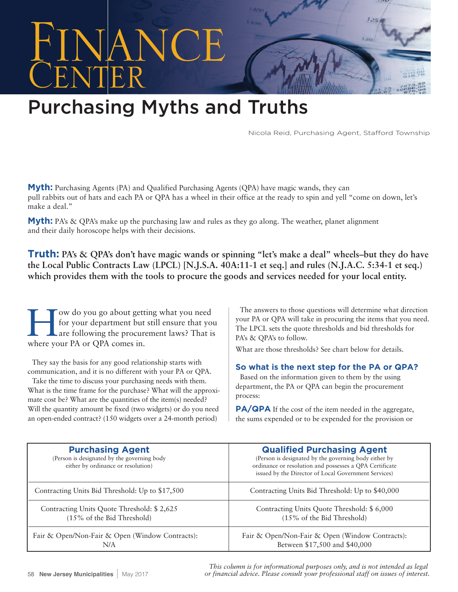

## **Purchasing Myths and Truths**

Nicola Reid, Purchasing Agent, Stafford Township

**Myth:** Purchasing Agents (PA) and Qualified Purchasing Agents (QPA) have magic wands, they can pull rabbits out of hats and each PA or QPA has a wheel in their office at the ready to spin and yell "come on down, let's make a deal."

**Myth:** PA's & QPA's make up the purchasing law and rules as they go along. The weather, planet alignment and their daily horoscope helps with their decisions.

**Truth: PA's & QPA's don't have magic wands or spinning "let's make a deal" wheels–but they do have the Local Public Contracts Law (LPCL) [N.J.S.A. 40A:11-1 et seq.] and rules (N.J.A.C. 5:34-1 et seq.) which provides them with the tools to procure the goods and services needed for your local entity.**

Tow do you go about getting what you need<br>for your department but still ensure that your elast following the procurement laws? That is for your department but still ensure that you are following the procurement laws? That is where your PA or QPA comes in.

They say the basis for any good relationship starts with communication, and it is no different with your PA or QPA. Take the time to discuss your purchasing needs with them.

What is the time frame for the purchase? What will the approximate cost be? What are the quantities of the item(s) needed? Will the quantity amount be fixed (two widgets) or do you need an open-ended contract? (150 widgets over a 24-month period)

The answers to those questions will determine what direction your PA or QPA will take in procuring the items that you need. The LPCL sets the quote thresholds and bid thresholds for PA's & QPA's to follow.

What are those thresholds? See chart below for details.

## **So what is the next step for the PA or QPA?**

Based on the information given to them by the using department, the PA or QPA can begin the procurement process:

**PA/QPA** If the cost of the item needed in the aggregate, the sums expended or to be expended for the provision or

| <b>Purchasing Agent</b><br>(Person is designated by the governing body<br>either by ordinance or resolution) | <b>Qualified Purchasing Agent</b><br>(Person is designated by the governing body either by<br>ordinance or resolution and possesses a QPA Certificate<br>issued by the Director of Local Government Services) |
|--------------------------------------------------------------------------------------------------------------|---------------------------------------------------------------------------------------------------------------------------------------------------------------------------------------------------------------|
| Contracting Units Bid Threshold: Up to \$17,500                                                              | Contracting Units Bid Threshold: Up to \$40,000                                                                                                                                                               |
| Contracting Units Quote Threshold: \$2,625                                                                   | Contracting Units Quote Threshold: \$ 6,000                                                                                                                                                                   |
| $(15\% \text{ of the Bid Threshold})$                                                                        | $(15\% \text{ of the Bid Threshold})$                                                                                                                                                                         |
| Fair & Open/Non-Fair & Open (Window Contracts):                                                              | Fair & Open/Non-Fair & Open (Window Contracts):                                                                                                                                                               |
| N/A                                                                                                          | Between \$17,500 and \$40,000                                                                                                                                                                                 |

*This column is for informational purposes only, and is not intended as legal or financial advice. Please consult your professional staff on issues of interest.*